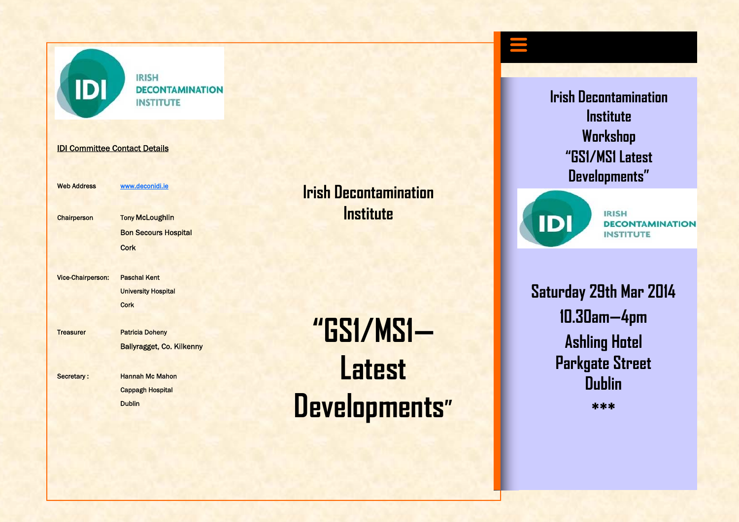

**IRISH DECONTAMINATION INSTITUTE** 

IDI Committee Contact Details

Web Address www.deconidi.ie

Chairperson Tony McLoughlin Bon Secours Hospital **Cork Cork** 

Vice-Chairperson: Paschal Kent University Hospital **Cork Cork** 

Treasurer Patricia Doheny

Ballyragget, Co. Kilkenny

Secretary : Hannah Mc Mahon Cappagh Hospital Dublin

# **Irish Decontamination Institute**

**"GS1/MS1—Latest Developments"**  **Irish Decontamination Institute Workshop "GS1/MS1 Latest Developments"** 



**IRISH DECONTAMINATION INSTITUTE** 

**Saturday 29th Mar 2014 10.30am—4pm Ashling Hotel Parkgate Street Dublin** 

**\*\*\***